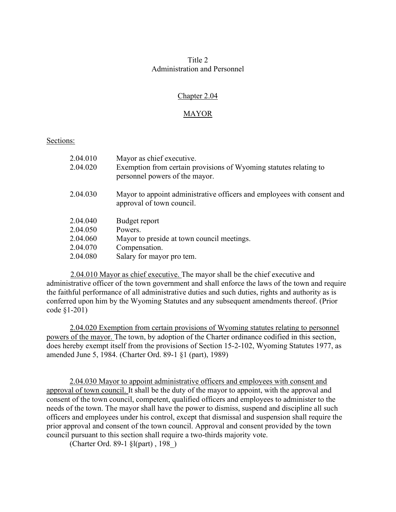# Title 2 Administration and Personnel

# Chapter 2.04

# **MAYOR**

### Sections:

| 2.04.010 | Mayor as chief executive.                                                                            |
|----------|------------------------------------------------------------------------------------------------------|
| 2.04.020 | Exemption from certain provisions of Wyoming statutes relating to<br>personnel powers of the mayor.  |
| 2.04.030 | Mayor to appoint administrative officers and employees with consent and<br>approval of town council. |
| 2.04.040 | Budget report                                                                                        |
| 2.04.050 | Powers.                                                                                              |
| 2.04.060 | Mayor to preside at town council meetings.                                                           |
| 2.04.070 | Compensation.                                                                                        |
| 2.04.080 | Salary for mayor pro tem.                                                                            |

2.04.010 Mayor as chief executive. The mayor shall be the chief executive and administrative officer of the town government and shall enforce the laws of the town and require the faithful performance of all administrative duties and such duties, rights and authority as is conferred upon him by the Wyoming Statutes and any subsequent amendments thereof. (Prior code §1-201)

2.04.020 Exemption from certain provisions of Wyoming statutes relating to personnel powers of the mayor. The town, by adoption of the Charter ordinance codified in this section, does hereby exempt itself from the provisions of Section 15-2-102, Wyoming Statutes 1977, as amended June 5, 1984. (Charter Ord. 89-1 §1 (part), 1989)

2.04.030 Mayor to appoint administrative officers and employees with consent and approval of town council. It shall be the duty of the mayor to appoint, with the approval and consent of the town council, competent, qualified officers and employees to administer to the needs of the town. The mayor shall have the power to dismiss, suspend and discipline all such officers and employees under his control, except that dismissal and suspension shall require the prior approval and consent of the town council. Approval and consent provided by the town council pursuant to this section shall require a two-thirds majority vote.

(Charter Ord. 89-1 §l(part) , 198\_)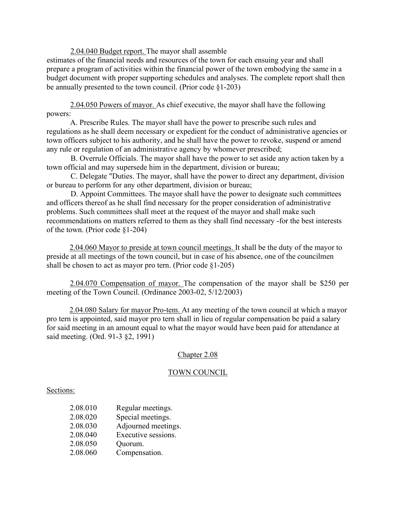2.04.040 Budget report. The mayor shall assemble

estimates of the financial needs and resources of the town for each ensuing year and shall prepare a program of activities within the financial power of the town embodying the same in a budget document with proper supporting schedules and analyses. The complete report shall then be annually presented to the town council. (Prior code  $\S1-203$ )

2.04.050 Powers of mayor. As chief executive, the mayor shall have the following powers:

A. Prescribe Rules. The mayor shall have the power to prescribe such rules and regulations as he shall deem necessary or expedient for the conduct of administrative agencies or town officers subject to his authority, and he shall have the power to revoke, suspend or amend any rule or regulation of an administrative agency by whomever prescribed;

B. Overrule Officials. The mayor shall have the power to set aside any action taken by a town official and may supersede him in the department, division or bureau;

C. Delegate "Duties. The mayor, shall have the power to direct any department, division or bureau to perform for any other department, division or bureau;

D. Appoint Committees. The mayor shall have the power to designate such committees and officers thereof as he shall find necessary for the proper consideration of administrative problems. Such committees shall meet at the request of the mayor and shall make such recommendations on matters referred to them as they shall find necessary -for the best interests of the town. (Prior code §1-204)

2.04.060 Mayor to preside at town council meetings. It shall be the duty of the mayor to preside at all meetings of the town council, but in case of his absence, one of the councilmen shall be chosen to act as mayor pro tern. (Prior code §1-205)

2.04.070 Compensation of mayor. The compensation of the mayor shall be \$250 per meeting of the Town Council. (Ordinance 2003-02, 5/12/2003)

2.04.080 Salary for mayor Pro-tem. At any meeting of the town council at which a mayor pro tern is appointed, said mayor pro tern shall in lieu of regular compensation be paid a salary for said meeting in an amount equal to what the mayor would have been paid for attendance at said meeting. (Ord. 91-3 §2, 1991)

# Chapter 2.08

# TOWN COUNCIL

### Sections:

- 2.08.010 Regular meetings.
- 2.08.020 Special meetings.
- 2.08.030 Adjourned meetings.
- 2.08.040 Executive sessions.
- 2.08.050 Quorum.
- 2.08.060 Compensation.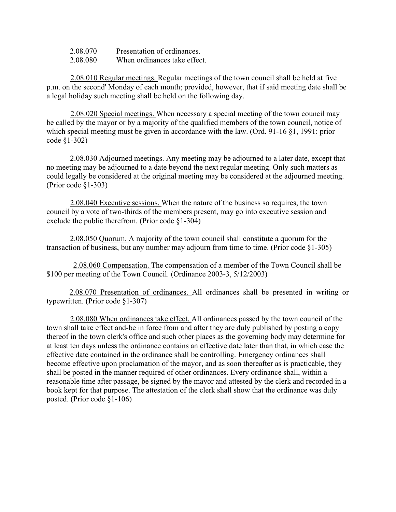| 2.08.070 | Presentation of ordinances.  |
|----------|------------------------------|
| 2.08.080 | When ordinances take effect. |

2.08.010 Regular meetings. Regular meetings of the town council shall be held at five p.m. on the second' Monday of each month; provided, however, that if said meeting date shall be a legal holiday such meeting shall be held on the following day.

2.08.020 Special meetings. When necessary a special meeting of the town council may be called by the mayor or by a majority of the qualified members of the town council, notice of which special meeting must be given in accordance with the law. (Ord. 91-16 §1, 1991: prior code §1-302)

2.08.030 Adjourned meetings. Any meeting may be adjourned to a later date, except that no meeting may be adjourned to a date beyond the next regular meeting. Only such matters as could legally be considered at the original meeting may be considered at the adjourned meeting. (Prior code §1-303)

2.08.040 Executive sessions. When the nature of the business so requires, the town council by a vote of two-thirds of the members present, may go into executive session and exclude the public therefrom. (Prior code §1-304)

2.08.050 Quorum. A majority of the town council shall constitute a quorum for the transaction of business, but any number may adjourn from time to time. (Prior code §1-305)

\_2.08.060 Compensation. The compensation of a member of the Town Council shall be \$100 per meeting of the Town Council. (Ordinance 2003-3, 5/12/2003)

2.08.070 Presentation of ordinances. All ordinances shall be presented in writing or typewritten. (Prior code §1-307)

2.08.080 When ordinances take effect. All ordinances passed by the town council of the town shall take effect and-be in force from and after they are duly published by posting a copy thereof in the town clerk's office and such other places as the governing body may determine for at least ten days unless the ordinance contains an effective date later than that, in which case the effective date contained in the ordinance shall be controlling. Emergency ordinances shall become effective upon proclamation of the mayor, and as soon thereafter as is practicable, they shall be posted in the manner required of other ordinances. Every ordinance shall, within a reasonable time after passage, be signed by the mayor and attested by the clerk and recorded in a book kept for that purpose. The attestation of the clerk shall show that the ordinance was duly posted. (Prior code §1-106)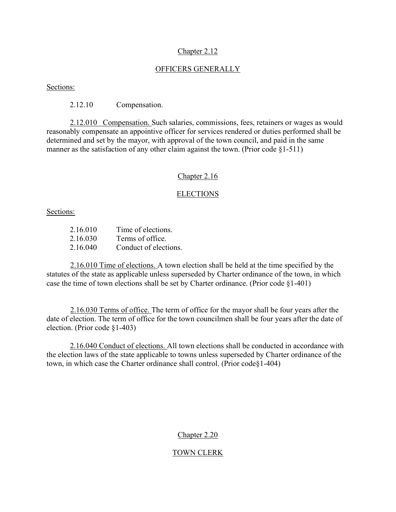### Chapter 2.12

### OFFICERS GENERALLY

Sections:

2.12.10 Compensation.

2.12.010 Compensation. Such salaries, commissions, fees, retainers or wages as would reasonably compensate an appointive officer for services rendered or duties performed shall be determined and set by the mayor, with approval of the town council, and paid in the same manner as the satisfaction of any other claim against the town. (Prior code §1-511)

#### Chapter 2.16

### ELECTIONS

Sections:

| 2.16.010 | Time of elections.    |
|----------|-----------------------|
| 2.16.030 | Terms of office.      |
| 2.16.040 | Conduct of elections. |

2.16.010 Time of elections. A town election shall be held at the time specified by the statutes of the state as applicable unless superseded by Charter ordinance of the town, in which case the time of town elections shall be set by Charter ordinance. (Prior code §1-401)

2.16.030 Terms of office. The term of office for the mayor shall be four years after the date of election. The term of office for the town councilmen shall be four years after the date of election. (Prior code §1-403)

2.16.040 Conduct of elections. All town elections shall be conducted in accordance with the election laws of the state applicable to towns unless superseded by Charter ordinance of the town, in which case the Charter ordinance shall control. (Prior code§1-404)

### Chapter 2.20

### TOWN CLERK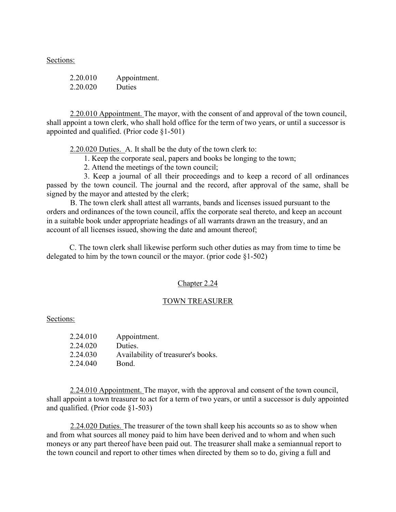Sections:

| 2.20.010 | Appointment.  |
|----------|---------------|
| 2.20.020 | <b>Duties</b> |

2.20.010 Appointment. The mayor, with the consent of and approval of the town council, shall appoint a town clerk, who shall hold office for the term of two years, or until a successor is appointed and qualified. (Prior code §1-501)

2.20.020 Duties. A. It shall be the duty of the town clerk to:

1. Keep the corporate seal, papers and books be longing to the town;

2. Attend the meetings of the town council;

 3. Keep a journal of all their proceedings and to keep a record of all ordinances passed by the town council. The journal and the record, after approval of the same, shall be signed by the mayor and attested by the clerk;

B. The town clerk shall attest all warrants, bands and licenses issued pursuant to the orders and ordinances of the town council, affix the corporate seal thereto, and keep an account in a suitable book under appropriate headings of all warrants drawn an the treasury, and an account of all licenses issued, showing the date and amount thereof;

C. The town clerk shall likewise perform such other duties as may from time to time be delegated to him by the town council or the mayor. (prior code  $\S1-502$ )

#### Chapter 2.24

#### TOWN TREASURER

Sections:

| 2.24.010 | Appointment.                       |
|----------|------------------------------------|
| 2.24.020 | Duties.                            |
| 2.24.030 | Availability of treasurer's books. |
| 2.24.040 | Bond.                              |

2.24.010 Appointment. The mayor, with the approval and consent of the town council, shall appoint a town treasurer to act for a term of two years, or until a successor is duly appointed and qualified. (Prior code §1-503)

2.24.020 Duties. The treasurer of the town shall keep his accounts so as to show when and from what sources all money paid to him have been derived and to whom and when such moneys or any part thereof have been paid out. The treasurer shall make a semiannual report to the town council and report to other times when directed by them so to do, giving a full and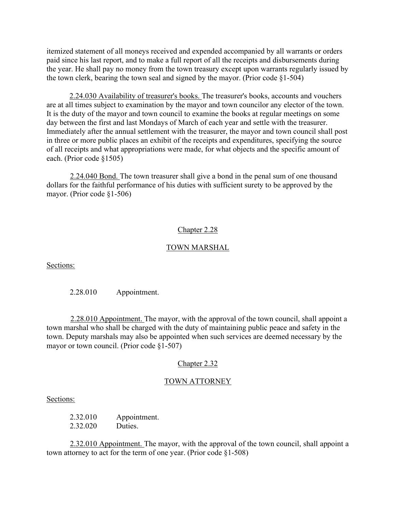itemized statement of all moneys received and expended accompanied by all warrants or orders paid since his last report, and to make a full report of all the receipts and disbursements during the year. He shall pay no money from the town treasury except upon warrants regularly issued by the town clerk, bearing the town seal and signed by the mayor. (Prior code §1-504)

2.24.030 Availability of treasurer's books. The treasurer's books, accounts and vouchers are at all times subject to examination by the mayor and town councilor any elector of the town. It is the duty of the mayor and town council to examine the books at regular meetings on some day between the first and last Mondays of March of each year and settle with the treasurer. Immediately after the annual settlement with the treasurer, the mayor and town council shall post in three or more public places an exhibit of the receipts and expenditures, specifying the source of all receipts and what appropriations were made, for what objects and the specific amount of each. (Prior code §1505)

2.24.040 Bond. The town treasurer shall give a bond in the penal sum of one thousand dollars for the faithful performance of his duties with sufficient surety to be approved by the mayor. (Prior code §1-506)

# Chapter 2.28

### TOWN MARSHAL

Sections:

2.28.010 Appointment.

2.28.010 Appointment. The mayor, with the approval of the town council, shall appoint a town marshal who shall be charged with the duty of maintaining public peace and safety in the town. Deputy marshals may also be appointed when such services are deemed necessary by the mayor or town council. (Prior code §1-507)

### Chapter 2.32

### TOWN ATTORNEY

#### Sections:

2.32.010 Appointment. 2.32.020 Duties.

2.32.010 Appointment. The mayor, with the approval of the town council, shall appoint a town attorney to act for the term of one year. (Prior code §1-508)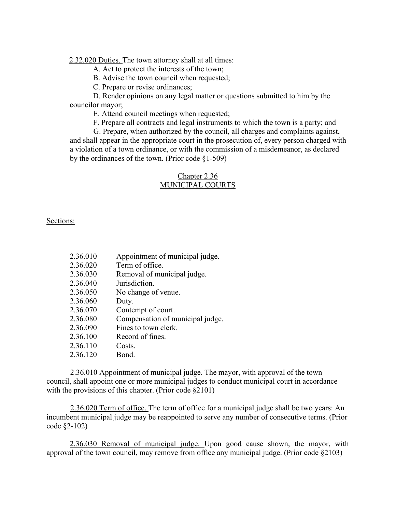2.32.020 Duties. The town attorney shall at all times:

A. Act to protect the interests of the town;

B. Advise the town council when requested;

C. Prepare or revise ordinances;

D. Render opinions on any legal matter or questions submitted to him by the councilor mayor;

E. Attend council meetings when requested;

F. Prepare all contracts and legal instruments to which the town is a party; and

G. Prepare, when authorized by the council, all charges and complaints against, and shall appear in the appropriate court in the prosecution of, every person charged with a violation of a town ordinance, or with the commission of a misdemeanor, as declared by the ordinances of the town. (Prior code §1-509)

# Chapter 2.36 MUNICIPAL COURTS

Sections:

| 2.36.010 | Appointment of municipal judge.  |
|----------|----------------------------------|
| 2.36.020 | Term of office.                  |
| 2.36.030 | Removal of municipal judge.      |
| 2.36.040 | Jurisdiction.                    |
| 2.36.050 | No change of venue.              |
| 2.36.060 | Duty.                            |
| 2.36.070 | Contempt of court.               |
| 2.36.080 | Compensation of municipal judge. |
| 2.36.090 | Fines to town clerk.             |
| 2.36.100 | Record of fines.                 |
| 2.36.110 | Costs.                           |
| 2.36.120 | Bond.                            |

2.36.010 Appointment of municipal judge. The mayor, with approval of the town council, shall appoint one or more municipal judges to conduct municipal court in accordance with the provisions of this chapter. (Prior code §2101)

2.36.020 Term of office. The term of office for a municipal judge shall be two years: An incumbent municipal judge may be reappointed to serve any number of consecutive terms. (Prior code §2-102)

2.36.030 Removal of municipal judge. Upon good cause shown, the mayor, with approval of the town council, may remove from office any municipal judge. (Prior code §2103)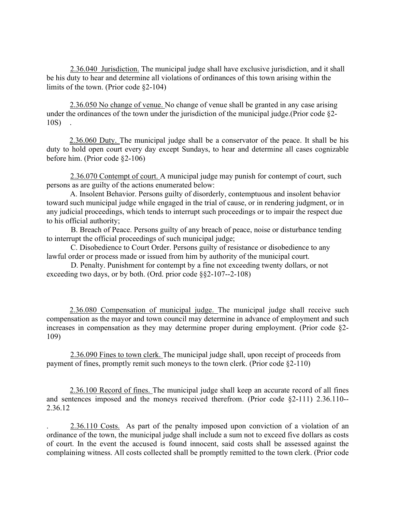2.36.040 Jurisdiction. The municipal judge shall have exclusive jurisdiction, and it shall be his duty to hear and determine all violations of ordinances of this town arising within the limits of the town. (Prior code §2-104)

2.36.050 No change of venue. No change of venue shall be granted in any case arising under the ordinances of the town under the jurisdiction of the municipal judge.(Prior code §2- 10S) .

2.36.060 Duty. The municipal judge shall be a conservator of the peace. It shall be his duty to hold open court every day except Sundays, to hear and determine all cases cognizable before him. (Prior code §2-106)

2.36.070 Contempt of court. A municipal judge may punish for contempt of court, such persons as are guilty of the actions enumerated below:

A. Insolent Behavior. Persons guilty of disorderly, contemptuous and insolent behavior toward such municipal judge while engaged in the trial of cause, or in rendering judgment, or in any judicial proceedings, which tends to interrupt such proceedings or to impair the respect due to his official authority;

B. Breach of Peace. Persons guilty of any breach of peace, noise or disturbance tending to interrupt the official proceedings of such municipal judge;

C. Disobedience to Court Order. Persons guilty of resistance or disobedience to any lawful order or process made or issued from him by authority of the municipal court.

D. Penalty. Punishment for contempt by a fine not exceeding twenty dollars, or not exceeding two days, or by both. (Ord. prior code §§2-107--2-108)

2.36.080 Compensation of municipal judge. The municipal judge shall receive such compensation as the mayor and town council may determine in advance of employment and such increases in compensation as they may determine proper during employment. (Prior code §2- 109)

2.36.090 Fines to town clerk. The municipal judge shall, upon receipt of proceeds from payment of fines, promptly remit such moneys to the town clerk. (Prior code §2-110)

2.36.100 Record of fines. The municipal judge shall keep an accurate record of all fines and sentences imposed and the moneys received therefrom. (Prior code §2-111) 2.36.110-- 2.36.12

2.36.110 Costs. As part of the penalty imposed upon conviction of a violation of an ordinance of the town, the municipal judge shall include a sum not to exceed five dollars as costs of court. In the event the accused is found innocent, said costs shall be assessed against the complaining witness. All costs collected shall be promptly remitted to the town clerk. (Prior code